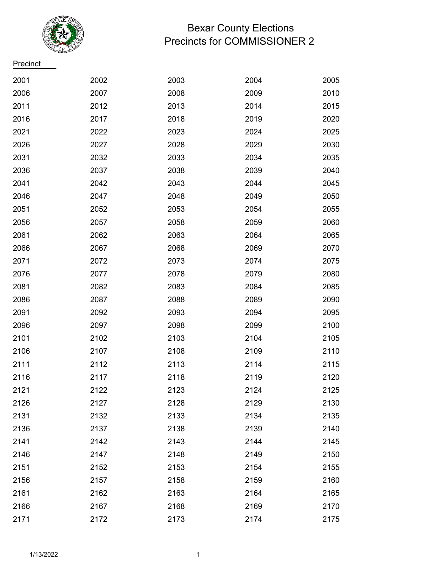

## Bexar County Elections Precincts for COMMISSIONER 2

**Precinct** 

| 2001 | 2002 | 2003 | 2004 | 2005 |
|------|------|------|------|------|
| 2006 | 2007 | 2008 | 2009 | 2010 |
| 2011 | 2012 | 2013 | 2014 | 2015 |
| 2016 | 2017 | 2018 | 2019 | 2020 |
| 2021 | 2022 | 2023 | 2024 | 2025 |
| 2026 | 2027 | 2028 | 2029 | 2030 |
| 2031 | 2032 | 2033 | 2034 | 2035 |
| 2036 | 2037 | 2038 | 2039 | 2040 |
| 2041 | 2042 | 2043 | 2044 | 2045 |
| 2046 | 2047 | 2048 | 2049 | 2050 |
| 2051 | 2052 | 2053 | 2054 | 2055 |
| 2056 | 2057 | 2058 | 2059 | 2060 |
| 2061 | 2062 | 2063 | 2064 | 2065 |
| 2066 | 2067 | 2068 | 2069 | 2070 |
| 2071 | 2072 | 2073 | 2074 | 2075 |
| 2076 | 2077 | 2078 | 2079 | 2080 |
| 2081 | 2082 | 2083 | 2084 | 2085 |
| 2086 | 2087 | 2088 | 2089 | 2090 |
| 2091 | 2092 | 2093 | 2094 | 2095 |
| 2096 | 2097 | 2098 | 2099 | 2100 |
| 2101 | 2102 | 2103 | 2104 | 2105 |
| 2106 | 2107 | 2108 | 2109 | 2110 |
| 2111 | 2112 | 2113 | 2114 | 2115 |
| 2116 | 2117 | 2118 | 2119 | 2120 |
| 2121 | 2122 | 2123 | 2124 | 2125 |
| 2126 | 2127 | 2128 | 2129 | 2130 |
| 2131 | 2132 | 2133 | 2134 | 2135 |
| 2136 | 2137 | 2138 | 2139 | 2140 |
| 2141 | 2142 | 2143 | 2144 | 2145 |
| 2146 | 2147 | 2148 | 2149 | 2150 |
| 2151 | 2152 | 2153 | 2154 | 2155 |
| 2156 | 2157 | 2158 | 2159 | 2160 |
| 2161 | 2162 | 2163 | 2164 | 2165 |
| 2166 | 2167 | 2168 | 2169 | 2170 |
| 2171 | 2172 | 2173 | 2174 | 2175 |